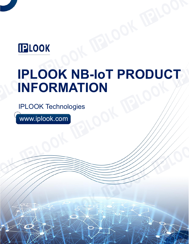## **IPLOOK**

# **IPLOOK NB-IoT PRODUCT INFORMATION**

IPLOOK Technologies

www.iplook.com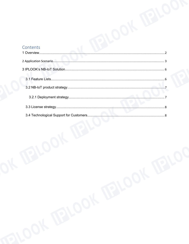## Contents

| Contents  |          |
|-----------|----------|
|           |          |
|           |          |
|           |          |
|           |          |
|           |          |
|           |          |
|           |          |
|           |          |
| JK BILOOK |          |
|           | AL BILOC |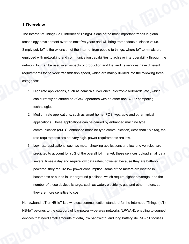#### <span id="page-2-0"></span>**1 Overview**

The Internet of Things (IoT, Internet of Things) is one of the most important trends in global technology development over the next five years and will bring tremendous business value. Simply put, IoT is the extension of the Internet from people to things, where IoT terminals are equipped with networking and communication capabilities to achieve interoperability through the network. IoT can be used in all aspects of production and life, and its services have different requirements for network transmission speed, which are mainly divided into the following three categories:

- 1. High rate applications, such as camera surveillance, electronic billboards, etc., which can currently be carried on 3G/4G operators with no other non-3GPP competing technologies.
- 2. Medium rate applications, such as smart home, POS, wearable and other typical applications. These applications can be carried by enhanced machine type communication (eMTC, enhanced machine type communication) (less than 1Mbit/s), the rate requirements are not very high, power requirements are low.
- 3. Low-rate applications, such as meter checking applications and low-end vehicles, are predicted to account for 70% of the overall IoT market; these services upload small data several times a day and require low data rates; however, because they are battery powered, they require low power consumption; some of the meters are located in basements or buried in underground pipelines, which require higher coverage; and the number of these devices is large, such as water, electricity, gas and other meters, so they are more sensitive to cost.

Narrowband IoT or NB-IoT is a wireless communication standard for the Internet of Things (IoT). NB-IoT belongs to the category of low-power wide-area networks (LPWAN), enabling to connect devices that need small amounts of data, low bandwidth, and long battery life. NB-IoT focuses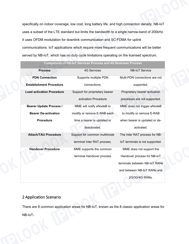specifically on indoor coverage, low cost, long battery life, and high connection density. NB-IoT uses a subset of the LTE standard but limits the bandwidth to a single narrow-band of 200kHz. It uses OFDM modulation for downlink communication and SC-FDMA for uplink communications. IoT applications which require more frequent communications will be better served by NB-IoT, which has no duty cycle limitations operating on the licensed spectrum.

| <b>Process</b>                   | <b>4G Services</b>             | <b>NB-IoT Service</b>           |  |
|----------------------------------|--------------------------------|---------------------------------|--|
| <b>PDN Connection</b>            | Supports multiple PDN          | Multi-PDN connections are not   |  |
| <b>Establishment Procedure</b>   | connections.                   | supported.                      |  |
| <b>Load activation Procedure</b> | Support for proprietary bearer | Proprietary bearer activation   |  |
|                                  | activation Procedure           | processes are not supported.    |  |
| <b>Bearer Update Process /</b>   | MME will notify eNodeB to      | MME does not trigger eNodeB     |  |
| <b>Bearer De-activation</b>      | modify or remove E-RAB each    | to modify or remove E-RAB       |  |
| <b>Procedure</b>                 | time a bearer is updated or    | when bearer is updated or de-   |  |
|                                  | deactivated.                   | activated.                      |  |
| <b>Attach/TAU Procedure</b>      | Support for common multimode   | The Inter RAT process for NB-   |  |
|                                  | terminal Inter RAT process.    | IoT terminals is not supported. |  |
| <b>Handover Procedure</b>        | MME supports the common        | MME does not support the        |  |
|                                  | terminal Handover process      | Handover process for NB-IoT     |  |
|                                  |                                | terminals between NB-IoT RANs   |  |
|                                  |                                | and between NB-IoT RANs and     |  |
|                                  |                                | 2G/3G/4G RANs.                  |  |
|                                  |                                |                                 |  |

**Comparison of NB-IoT Services Process and 4G Business Process**

#### <span id="page-3-0"></span>2 Application Scenario

There are 8 common application areas for NB-IoT, known as the 8 classic application areas for NB-IoT: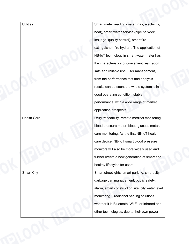| <b>Utilities</b>   | Smart meter reading (water, gas, electricity,    |
|--------------------|--------------------------------------------------|
|                    | heat), smart water service (pipe network,        |
|                    | leakage, quality control), smart fire            |
|                    | extinguisher, fire hydrant. The application of   |
|                    | NB-IoT technology in smart water meter has       |
|                    | the characteristics of convenient realization,   |
|                    | safe and reliable use, user management,          |
|                    | from the performance test and analysis           |
|                    | results can be seen, the whole system is in      |
|                    | good operating condition, stable                 |
|                    | performance, with a wide range of market         |
|                    | application prospects.                           |
| <b>Health Care</b> | Drug traceability, remote medical monitoring,    |
|                    | blood pressure meter, blood glucose meter,       |
|                    | care monitoring. As the first NB-IoT health      |
|                    | care device, NB-IoT smart blood pressure         |
|                    | monitors will also be more widely used and       |
|                    | further create a new generation of smart and     |
|                    | healthy lifestyles for users.                    |
| <b>Smart City</b>  | Smart streetlights, smart parking, smart city    |
|                    | garbage can management, public safety,           |
|                    | alarm, smart construction site, city water level |
|                    | monitoring. Traditional parking solutions,       |
|                    | whether it is Bluetooth, Wi-Fi, or infrared and  |
|                    |                                                  |
|                    | other technologies, due to their own power       |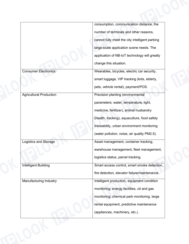|                                | consumption, communication distance, the       |
|--------------------------------|------------------------------------------------|
|                                | number of terminals and other reasons,         |
|                                | cannot fully meet the city intelligent parking |
|                                | large-scale application scene needs. The       |
|                                | application of NB-IoT technology will greatly  |
|                                | change this situation.                         |
| <b>Consumer Electronics</b>    | Wearables, bicycles, electric car security,    |
|                                | smart luggage, VIP tracking (kids, elderly,    |
|                                | pets, vehicle rental), payment/POS.            |
| <b>Agricultural Production</b> | Precision planting (environmental              |
|                                | parameters: water, temperature, light,         |
|                                | medicine, fertilizer), animal husbandry        |
|                                | (health, tracking), aquaculture, food safety   |
|                                | traceability, urban environment monitoring     |
|                                | (water pollution, noise, air quality PM2.5).   |
| Logistics and Storage          | Asset management, container tracking,          |
|                                | warehouse management, fleet management,        |
|                                | logistics status, parcel tracking.             |
| <b>Intelligent Building</b>    | Smart access control, smart smoke detection,   |
|                                | fire detection, elevator failure/maintenance.  |
| Manufacturing Industry         | Intelligent production, equipment condition    |
|                                | monitoring; energy facilities, oil and gas     |
|                                | monitoring; chemical park monitoring, large    |
|                                | rental equipment, predictive maintenance       |
|                                | (appliances, machinery, etc.).                 |
|                                |                                                |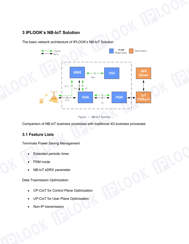## <span id="page-6-0"></span>**3 IPLOOK's NB-IoT Solution**

The basic network architecture of IPLOOK's NB-IoT Solution:



*Figure* <sup>1</sup>*: NB-IoT Solution*

Comparison of NB-IoT business processes with traditional 4G business processes

## <span id="page-6-1"></span>**3.1 Feature Lists**

Terminals Power Saving Management

- Extended periodic timer
- PSM mode
- NB-IoT eDRX parameter

Data Trasmission Optimization

- CP-CIoT for Control Plane Optimization
- UP-CIoT for User Plane Optimization
- Non-IP transmission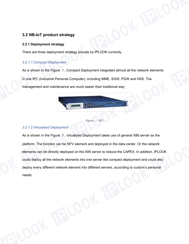#### <span id="page-7-0"></span>**3.2 NB-IoT product strategy**

#### <span id="page-7-1"></span>**3.2.1 Deployment strategy**

There are three deployment strategy provide by IPLOOK currently.

#### *3.2.1.1 Compact Deployment*

As is shown in the Figure 2, Compact Deployment integrated almost all the network elements in one IPC (Industrial Personal Computer), including MME, SGW, PGW and HSS. The management and maintenance are much easier than traditional way.



```
Figure 2: IPC
```
#### *3.2.1.2 Virtualized Deployment*

As is shown in the Figure 3, virtualized Deployment takes use of general X86 server as the platform. The function can be NFV element and deployed in the data center. Or the network elements can be directly deployed on the X85 server to reduce the CAPEX. In addition, IPLOOK could deploy all the network elements into one server like compact deployment and could also deploy every different network element into different servers, according to custom's personal needs.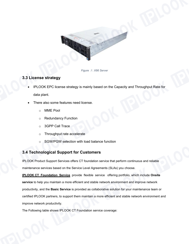

*Figure* <sup>3</sup>*: X86 Server*

#### <span id="page-8-0"></span>**3.3 License strategy**

- IPLOOK EPC license strategy is mainly based on the Capacity and Throughput Rate for data plant.
- There also some features need license.
	- o MME Pool
	- o Redundancy Function
	- o 3GPP Call Trace
	- o Throughput rate accelerate
	- o SGW/PGW selection with load balance function

## <span id="page-8-1"></span>**3.4 Technological Support for Customers**

IPLOOK Product Support Services offers CT foundation service that perform continuous and reliable maintenance services based on the Service Level Agreements (SLAs) you choose.

**IPLOOK CT Foundation Service** provide flexible service offering portfolio, which include **Onsite service** to help you maintain a more efficient and stable network environment and improve network productivity, and the **Basic Service** is provided as collaborative solution for your maintenance team or certified IPLOOK partners, to support them maintain a more efficient and stable network environment and improve network productivity.

The Following table shows IPLOOK CT Foundation service coverage: